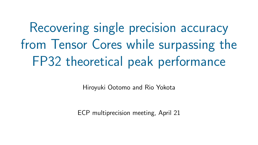# Recovering single precision accuracy from Tensor Cores while surpassing the FP32 theoretical peak performance

Hiroyuki Ootomo and Rio Yokota

ECP multiprecision meeting, April 21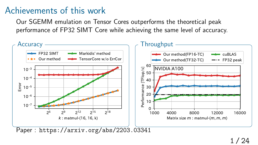#### Achievements of this work

Our SGEMM emulation on Tensor Cores outperforms the theoretical peak performance of FP32 SIMT Core while achieving the same level of accuracy.

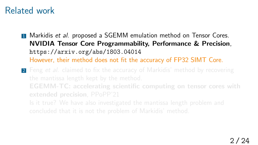#### Related work

**1 Markidis et al. proposed a SGEMM emulation method on Tensor Cores. NVIDIA Tensor Core Programmability, Performance & Precision**, https://arxiv.org/abs/1803.04014 However, their method does not fit the accuracy of FP32 SIMT Core.

**2** Feng *et al.* claimed to fix the accuracy of Markidis' method by recovering **EGEMM-TC: accelerating scientific computing on tensor cores with extended precision**, PPoPP'21 Is it true? We have also investigated the mantissa length problem and concluded that it is not the problem of Markidis' method.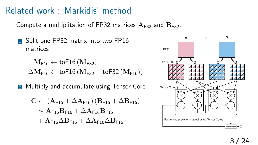#### Related work : Markidis' method

Compute a multiplitation of FP32 matrices  $A_{F32}$  and  $B_{F32}$ .

**1** Split one FP32 matrix into two FP16 matrices

 $M_{F16}$  ← toF16 ( $M_{F32}$ )  $\Delta M_{F16}$  ← toF16 ( $M_{F32}$  – toF32 ( $M_{F16}$ ))

2 Multiply and accumulate using Tensor Core

$$
\begin{aligned} C &\leftarrow (A_{\text{F16}}+\Delta A_{\text{F16}})\left(B_{\text{F16}}+\Delta B_{\text{F16}}\right) \\ &\sim A_{\text{F16}}B_{\text{F16}}+\Delta A_{\text{F16}}B_{\text{F16}} \\ &+A_{\text{F16}}\Delta B_{\text{F16}}+\Delta A_{\text{F16}}\Delta B_{\text{F16}} \end{aligned}
$$

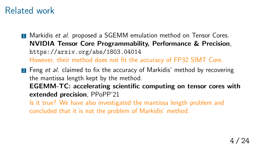#### Related work

**1** Markidis *et al.* proposed a SGEMM emulation method on Tensor Cores. **NVIDIA Tensor Core Programmability, Performance & Precision**, https://arxiv.org/abs/1803.04014 However, their method does not fit the accuracy of FP32 SIMT Core.

2 Feng *et al.* claimed to fix the accuracy of Markidis' method by recovering the mantissa length kept by the method. **EGEMM-TC: accelerating scientific computing on tensor cores with extended precision**, PPoPP'21 Is it true? We have also investigated the mantissa length problem and

concluded that it is not the problem of Markidis' method.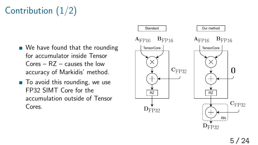# Contribution (1/2)

- We have found that the rounding for accumulator inside Tensor Cores – RZ – causes the low accuracy of Markidis' method.
- $\blacksquare$  To avoid this rounding, we use FP32 SIMT Core for the accumulation outside of Tensor Cores.

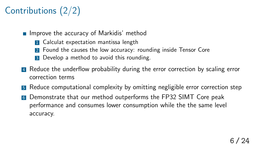# Contributions (2/2)

- $\blacksquare$  Improve the accuracy of Markidis' method
	- **1** Calculat expectation mantissa length
	- 2 Found the causes the low accuracy: rounding inside Tensor Core
	- 3 Develop a method to avoid this rounding.
- **4** Reduce the underflow probability during the error correction by scaling error correction terms
- **5** Reduce computational complexity by omitting negligible error correction step
- <sup>6</sup> Demonstrate that our method outperforms the FP32 SIMT Core peak performance and consumes lower consumption while the the same level accuracy.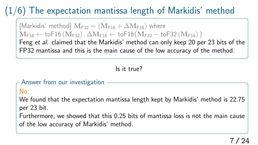# $(1/6)$  The expectation mantissa length of Markidis' method

 $[Markidis'$  method]  $M_{F32}$  ~  $(M_{F16} + \Delta M_{F16})$  where  $\mathbf{M}_{\mathsf{F16}} \leftarrow \mathsf{toF16}\left(\mathbf{M}_{\mathsf{F32}}\right), \Delta \mathbf{M}_{\mathsf{F16}} \leftarrow \mathsf{toF16}\big(\mathbf{M}_{\mathsf{F32}} - \mathsf{toF32}\left(\mathbf{M}_{\mathsf{F16}}\right)\big)$ 

Feng *et al.* claimed that the Markidis' method can only keep 20 per 23 bits of the FP32 mantissa and this is the main cause of the low accuracy of the method.

#### Is it true?

#### Answer from our investigation

No.

We found that the expectation mantissa length kept by Markidis' method is 22.75 per 23 bit.

Furthermore, we showed that this 0.25 bits of mantissa loss is not the main cause of the low accuracy of Markidis' method.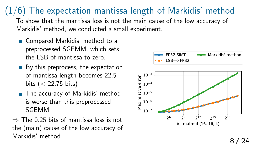## $(1/6)$  The expectation mantissa length of Markidis' method

To show that the mantissa loss is not the main cause of the low accuracy of Markidis' method, we conducted a small experiment.

- Compared Markidis' method to a preprocessed SGEMM, which sets the LSB of mantissa to zero.
- $\blacksquare$  By this preprocess, the expectation of mantissa length becomes 22.5 bits (*<* 22.75 bits)
- The accuracy of Markidis' method is worse than this preprocessed SGEMM.
- *⇒* The 0.25 bits of mantissa loss is not the (main) cause of the low accuracy of Markidis' method.

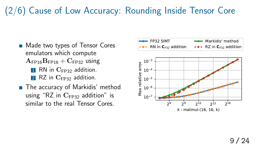### (2/6) Cause of Low Accuracy: Rounding Inside Tensor Core

- Made two types of Tensor Cores emulators which compute  $A_{\text{FP16}}B_{\text{FP16}} + C_{\text{FP32}}$  using
	- **1** RN in C<sub>FP32</sub> addition. 2 RZ in C<sub>FP32</sub> addition.
- The accuracy of Markidis' method using "RZ in  $C_{FP32}$  addition" is similar to the real Tensor Cores.

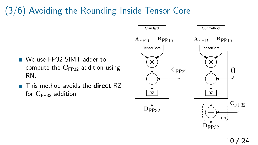# (3/6) Avoiding the Rounding Inside Tensor Core

- We use FP32 SIMT adder to compute the  $C_{FP32}$  addition using RN.
- This method avoids the **direct** RZ for  $C_{\text{FP32}}$  addition.

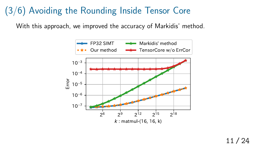### (3/6) Avoiding the Rounding Inside Tensor Core

With this approach, we improved the accuracy of Markidis' method.

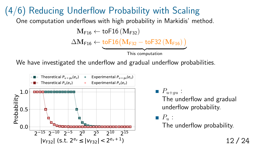(4/6) Reducing Underflow Probability with Scaling One computation underflows with high probability in Markidis' method.  $M_{F16} \leftarrow \text{toF16} (M_{F32})$  $\Delta \mathbf{M}_{\mathsf{F16}} \leftarrow \text{toF16} \big( \mathbf{M}_{\mathsf{F32}} - \text{toF32} \left( \mathbf{M}_{\mathsf{F16}} \right) \big)$ 

This computation

We have investigated the underflow and gradual underflow probabilities.



 $P_{u+qu}$ : The underflow and gradual underflow probability.

*P<sup>u</sup>* : The underflow probability.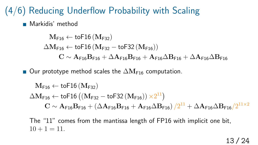#### (4/6) Reducing Underflow Probability with Scaling

■ Markidis' method

 $M_{F16} \leftarrow \text{toF16} (M_{F32})$  $\Delta M_{F16}$  ← toF16 ( $M_{F32}$  – toF32 ( $M_{F16}$ ))  $C \sim A$ F16 $B$ F16 +  $\Delta A$ F16 $B$ F16 +  $A$ F16 $\Delta B$ F16 +  $\Delta A$ F16 $\Delta B$ F16

■ Our prototype method scales the  $\Delta M_{F16}$  computation.

 $M_{F16} \leftarrow \text{toF16} (M_{F32})$  $\Delta \mathbf{M}_{\mathsf{F16}} \leftarrow \mathsf{toF16}\left( \left( \mathbf{M}_{\mathsf{F32}} - \mathsf{toF32}\left( \mathbf{M}_{\mathsf{F16}} \right) \right) \times 2^{11} \right)$  $\mathbf{C} \sim \mathbf{A}_{\mathsf{F16}}\mathbf{B}_{\mathsf{F16}} + (\Delta \mathbf{A}_{\mathsf{F16}}\mathbf{B}_{\mathsf{F16}} + \mathbf{A}_{\mathsf{F16}}\Delta \mathbf{B}_{\mathsf{F16}})\sqrt{2^{11} + \Delta \mathbf{A}_{\mathsf{F16}}\Delta \mathbf{B}_{\mathsf{F16}}}/2^{11\times2}$ 

The "11" comes from the mantissa length of FP16 with implicit one bit,  $10 + 1 = 11$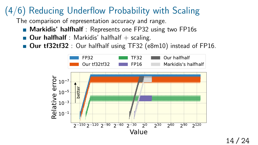### (4/6) Reducing Underflow Probability with Scaling

The comparison of representation accuracy and range.

- **Markidis' halfhalf**: Represents one FP32 using two FP16s
- **Our halfhalf** : Markidis' halfhalf  $+$  scaling.
- **Dur tf32tf32** : Our halfhalf using TF32 (e8m10) instead of FP16.

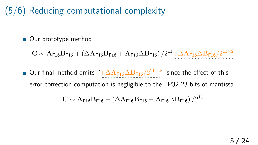#### (5/6) Reducing computational complexity

■ Our prototype method

 $\mathbf{C} \sim \mathbf{A}_{\mathsf{F16}}\mathbf{B}_{\mathsf{F16}} + \left(\Delta\mathbf{A}_{\mathsf{F16}}\mathbf{B}_{\mathsf{F16}} + \mathbf{A}_{\mathsf{F16}}\Delta\mathbf{B}_{\mathsf{F16}}\right)/2^{11} + \!\!\frac{\Delta\mathbf{A}_{\mathsf{F16}}\Delta\mathbf{B}_{\mathsf{F16}}/2^{11 \times 2}}{\Delta\mathbf{A}_{\mathsf{F16}}\Delta\mathbf{B}_{\mathsf{F16}}}\nonumber$ *✿✿✿✿✿✿✿✿✿✿✿✿✿✿✿✿✿✿✿✿✿*

Our final method omits " $+\Delta A_{F16}\Delta B_{F16}/2^{11\times2}$ " since the effect of this error correction computation is negligible to the FP32 23 bits of mantissa.

$$
C \sim A_{F16}B_{F16} + (\Delta A_{F16}B_{F16} + A_{F16}\Delta B_{F16})/2^{11}
$$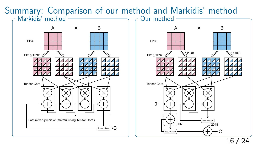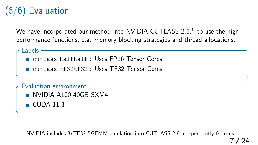# (6/6) Evaluation

We have incorporated our method into <code>NVIDIA CUTLASS</code> 2.5. $^{\rm 1}$  to use the high performance functions, e.g. memory blocking strategies and thread allocations.

Labels -

cutlass halfhalf : Uses FP16 Tensor Cores

cutlass tf32tf32 : Uses TF32 Tensor Cores

NVIDIA A100 40GB SXM4  $\Box$  CUDA 11.3 Evaluation environment

<sup>1</sup>NVIDIA includes 3xTF32 SGEMM emulation into CUTLASS 2.8 independently from us.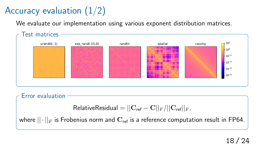# Accuracy evaluation  $(1/2)$

We evaluate our implementation using various exponent distribution matrices.



Error evaluation

$$
\text{RelativeResidual} = ||\mathbf{C}_{\textrm{ref}} - \mathbf{C}||_F / ||\mathbf{C}_{\textrm{ref}}||_F,
$$

where  $||\cdot||_F$  is Frobenius norm and  $\mathbf{C}_{\text{ref}}$  is a reference computation result in FP64.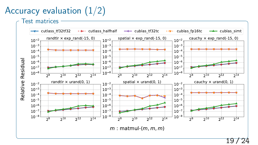# Accuracy evaluation  $(1/2)$

Test matrices

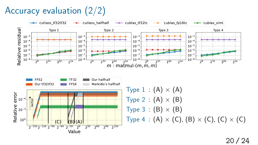# Accuracy evaluation (2/2)

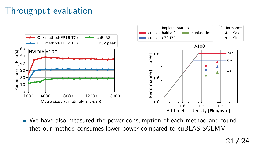### Throughput evaluation



We have also measured the power consumption of each method and found thet our method consumes lower power compared to cuBLAS SGEMM.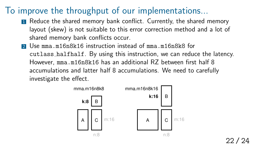#### To improve the throughput of our implementations...

- **1** Reduce the shared memory bank conflict. Currently, the shared memory layout (skew) is not suitable to this error correction method and a lot of shared memory bank conflicts occur.
- **2** Use mma.m16n8k16 instruction instead of mma.m16n8k8 for cutlass halfhalf. By using this instruction, we can reduce the latency. However, mma.m16n8k16 has an additional RZ between first half 8 accumulations and latter half 8 accumulations. We need to carefully investigate the effect.

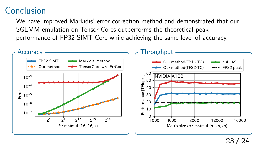#### Conclusion

We have improved Markidis' error correction method and demonstrated that our SGEMM emulation on Tensor Cores outperforms the theoretical peak performance of FP32 SIMT Core while achieving the same level of accuracy.